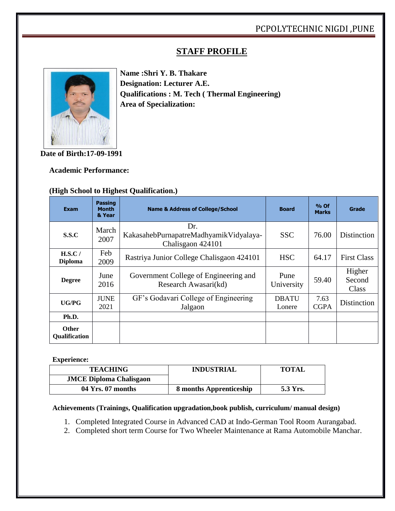## PCPOLYTECHNIC NIGDI ,PUNE

## **STAFF PROFILE**



**Name :Shri Y. B. Thakare Designation: Lecturer A.E. Qualifications : M. Tech ( Thermal Engineering) Area of Specialization:**

**Date of Birth:17-09-1991**

**Academic Performance:**

## **(High School to Highest Qualification.)**

| <b>Exam</b>                          | <b>Passing</b><br><b>Month</b><br>& Year | <b>Name &amp; Address of College/School</b>                        | <b>Board</b>           | $%$ Of<br><b>Marks</b> | Grade                     |
|--------------------------------------|------------------------------------------|--------------------------------------------------------------------|------------------------|------------------------|---------------------------|
| S.S.C                                | March<br>2007                            | Dr.<br>KakasahebPurnapatreMadhyamikVidyalaya-<br>Chalisgaon 424101 | <b>SSC</b>             | 76.00                  | Distinction               |
| $H.S.C$ /<br><b>Diploma</b>          | Feb<br>2009                              | Rastriya Junior College Chalisgaon 424101                          | <b>HSC</b>             | 64.17                  | <b>First Class</b>        |
| <b>Degree</b>                        | June<br>2016                             | Government College of Engineering and<br>Research Awasari(kd)      | Pune<br>University     | 59.40                  | Higher<br>Second<br>Class |
| UG/PG                                | <b>JUNE</b><br>2021                      | GF's Godavari College of Engineering<br>Jalgaon                    | <b>DBATU</b><br>Lonere | 7.63<br><b>CGPA</b>    | Distinction               |
| Ph.D.                                |                                          |                                                                    |                        |                        |                           |
| <b>Other</b><br><b>Oualification</b> |                                          |                                                                    |                        |                        |                           |

**Experience:**

| <b>TEACHING</b>                | <b>INDUSTRIAL</b>       | <b>TOTAL</b> |  |
|--------------------------------|-------------------------|--------------|--|
| <b>JMCE Diploma Chalisgaon</b> |                         |              |  |
| 04 Yrs. 07 months              | 8 months Apprenticeship | 5.3 Yrs.     |  |

## **Achievements (Trainings, Qualification upgradation,book publish, curriculum/ manual design)**

- 1. Completed Integrated Course in Advanced CAD at Indo-German Tool Room Aurangabad.
- 2. Completed short term Course for Two Wheeler Maintenance at Rama Automobile Manchar.